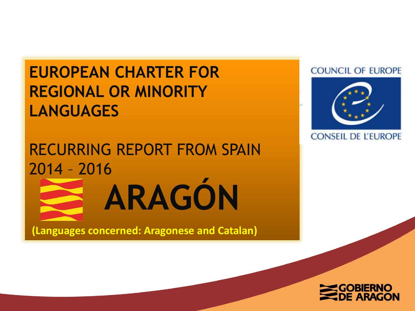### **EUROPEAN CHARTER FOR REGIONAL OR MINORITY LANGUAGES**

### **EUROPEAN CHARTER FOR REGIONAL OR** RECURRING REPORT FROM SPAIN RECURRING REPORT FROM SPAIN 2014 – 2016 2014 – 2016



**ARAGÓN**

**(Languages concerned: Aragonese and Catalan)**

#### **COUNCIL OF EUROPE**



**CONSEIL DE L'EUROPE** 

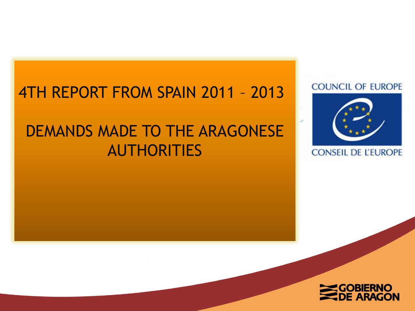### 4TH REPORT FROM SPAIN 2011 – 2013

### **EUROPEAN CHARTER FOR REGIONAL OR MINORITY LANGUAGES** AUTHORITIESDEMANDS MADE TO THE ARAGONESE

RECURRING REPORT FROM SPAIN 2014 – 2016

#### **COUNCIL OF EUROPE**



**CONSEIL DE L'EUROPE** 

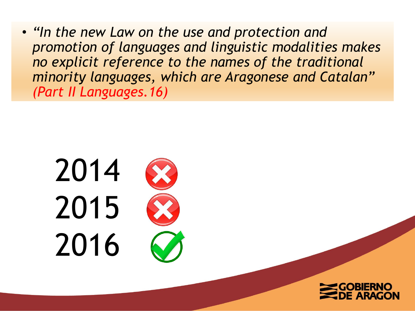• *"In the new Law on the use and protection and promotion of languages and linguistic modalities makes no explicit reference to the names of the traditional minority languages, which are Aragonese and Catalan" (Part II Languages.16)*

# 2014 2015 2016



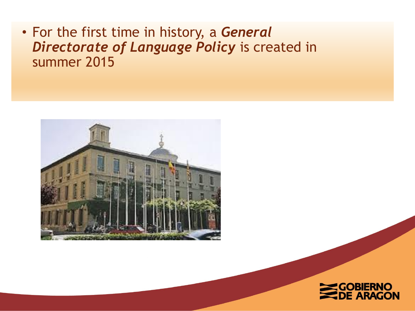### • For the first time in history, a *General Directorate of Language Policy* is created in summer 2015



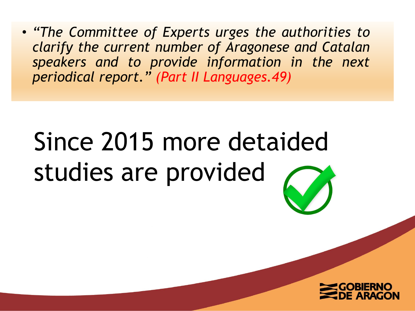• *"The Committee of Experts urges the authorities to clarify the current number of Aragonese and Catalan speakers and to provide information in the next periodical report." (Part II Languages.49)*

## Since 2015 more detaided studies are provided

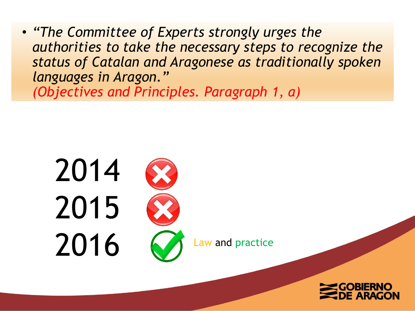• *"The Committee of Experts strongly urges the authorities to take the necessary steps to recognize the status of Catalan and Aragonese as traditionally spoken languages in Aragon." (Objectives and Principles. Paragraph 1, a)*



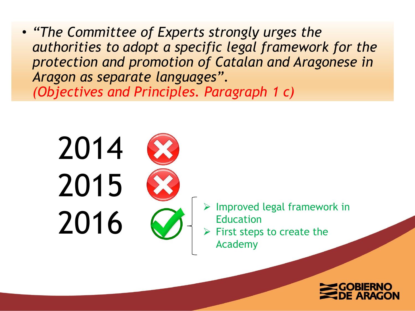• *"The Committee of Experts strongly urges the authorities to adopt a specific legal framework for the protection and promotion of Catalan and Aragonese in Aragon as separate languages". (Objectives and Principles. Paragraph 1 c)*



- Improved legal framework in Education
- First steps to create the Academy

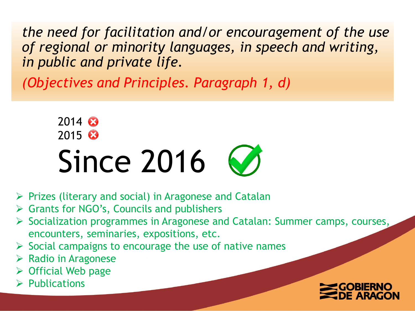*the need for facilitation and/or encouragement of the use of regional or minority languages, in speech and writing, in public and private life.*

*(Objectives and Principles. Paragraph 1, d)*

## $2014$   $\odot$  $2015$   $\odot$ Since 2016 (V)

- $\triangleright$  Prizes (literary and social) in Aragonese and Catalan
- $\triangleright$  Grants for NGO's, Councils and publishers
- $\triangleright$  Socialization programmes in Aragonese and Catalan: Summer camps, courses, encounters, seminaries, expositions, etc.
- $\triangleright$  Social campaigns to encourage the use of native names
- $\triangleright$  Radio in Aragonese
- $\triangleright$  Official Web page
- $\triangleright$  Publications

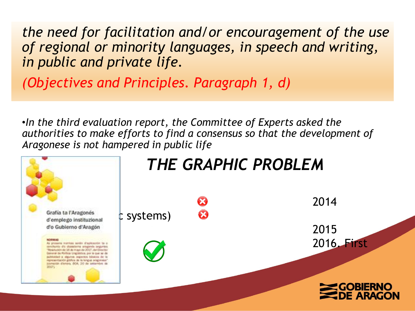*the need for facilitation and/or encouragement of the use of regional or minority languages, in speech and writing, in public and private life.*

*(Objectives and Principles. Paragraph 1, d)*

•*In the third evaluation report, the Committee of Experts asked the authorities to make efforts to find a consensus so that the development of Aragonese is not hampered in public life*

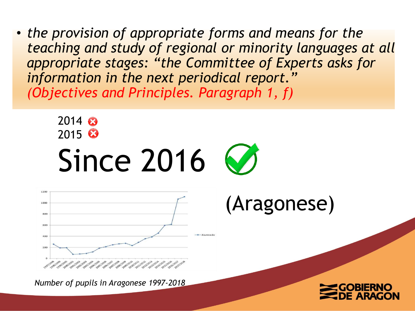• *the provision of appropriate forms and means for the teaching and study of regional or minority languages at all appropriate stages: "the Committee of Experts asks for information in the next periodical report." (Objectives and Principles. Paragraph 1, f)*



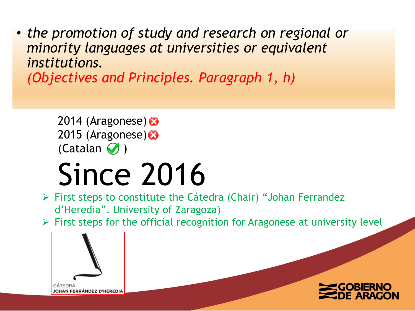• *the promotion of study and research on regional or minority languages at universities or equivalent institutions.*

*(Objectives and Principles. Paragraph 1, h)*

2014 (Aragonese) 2015 (Aragonese)<sup>3</sup>  $(Catalan$ 

# Since 2016

- First steps to constitute the Cátedra (Chair) "Johan Ferrandez d'Heredia". University of Zaragoza)
- $\triangleright$  First steps for the official recognition for Aragonese at university level

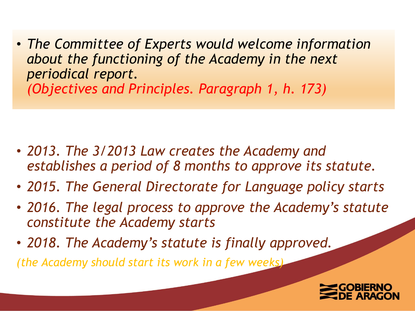• *The Committee of Experts would welcome information about the functioning of the Academy in the next periodical report. (Objectives and Principles. Paragraph 1, h. 173)*

- *2013. The 3/2013 Law creates the Academy and establishes a period of 8 months to approve its statute.*
- *2015. The General Directorate for Language policy starts*
- *2016. The legal process to approve the Academy's statute constitute the Academy starts*
- *2018. The Academy's statute is finally approved.*

*(the Academy should start its work in a few weeks)*